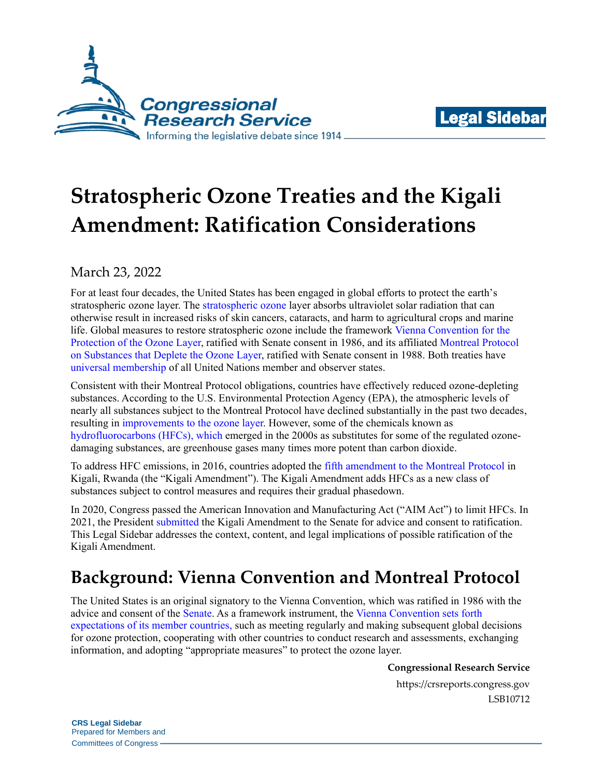



# **Stratospheric Ozone Treaties and the Kigali Amendment: Ratification Considerations**

March 23, 2022

For at least four decades, the United States has been engaged in global efforts to protect the earth's stratospheric ozone layer. The [stratospheric ozone](https://www.epa.gov/ozone-layer-protection/health-and-environmental-effects-ozone-layer-depletion) layer absorbs ultraviolet solar radiation that can otherwise result in increased risks of skin cancers, cataracts, and harm to agricultural crops and marine life. Global measures to restore stratospheric ozone include the framework [Vienna Convention](https://legal.un.org/avl/ha/vcpol/vcpol.html) for the [Protection of the Ozone Layer,](https://legal.un.org/avl/ha/vcpol/vcpol.html) ratified with Senate consent in 1986, and its affiliated [Montreal Protocol](https://treaties.un.org/doc/Treaties/1989/01/19890101%2003-25%20AM/Ch_XXVII_02_ap.pdf) [on Substances that Deplete the Ozone Layer,](https://treaties.un.org/doc/Treaties/1989/01/19890101%2003-25%20AM/Ch_XXVII_02_ap.pdf) ratified with Senate consent in 1988. Both treaties have [universal membership](https://ozone.unep.org/all-ratifications) of all United Nations member and observer states.

Consistent with their Montreal Protocol obligations, countries have effectively reduced ozone-depleting substances. According to the U.S. Environmental Protection Agency (EPA), the atmospheric levels of nearly all substances subject to the Montreal Protocol have declined substantially in the past two decades, resulting in [improvements to the ozone layer.](https://www.epa.gov/ozone-layer-protection/current-state-ozone-layer) However, some of the chemicals known as [hydrofluorocarbons \(HFCs\),](https://crsreports.congress.gov/product/pdf/IF/IF11779) which emerged in the 2000s as substitutes for some of the regulated ozonedamaging substances, are greenhouse gases many times more potent than carbon dioxide.

To address HFC emissions, in 2016, countries adopted the [fifth amendment to the Montreal Protocol](https://www.congress.gov/117/cdoc/tdoc1/CDOC-117tdoc1.pdf) in Kigali, Rwanda (the "Kigali Amendment"). The Kigali Amendment adds HFCs as a new class of substances subject to control measures and requires their gradual phasedown.

In 2020, Congress passed the American Innovation and Manufacturing Act ("AIM Act") to limit HFCs. In 2021, the President [submitted](https://www.congress.gov/treaty-document/117th-congress/1/document-text?overview=closed) the Kigali Amendment to the Senate for advice and consent to ratification. This Legal Sidebar addresses the context, content, and legal implications of possible ratification of the Kigali Amendment.

## **Background: Vienna Convention and Montreal Protocol**

The United States is an original signatory to the Vienna Convention, which was ratified in 1986 with the advice and consent of the [Senate.](https://www.congress.gov/treaty-document/99th-congress/9) As a framework instrument, the [Vienna Convention sets forth](https://ozone.unep.org/sites/default/files/2020-01/VC_Handbook_2019.pdf)  [expectations of its member countries,](https://ozone.unep.org/sites/default/files/2020-01/VC_Handbook_2019.pdf) such as meeting regularly and making subsequent global decisions for ozone protection, cooperating with other countries to conduct research and assessments, exchanging information, and adopting "appropriate measures" to protect the ozone layer.

**Congressional Research Service**

https://crsreports.congress.gov LSB10712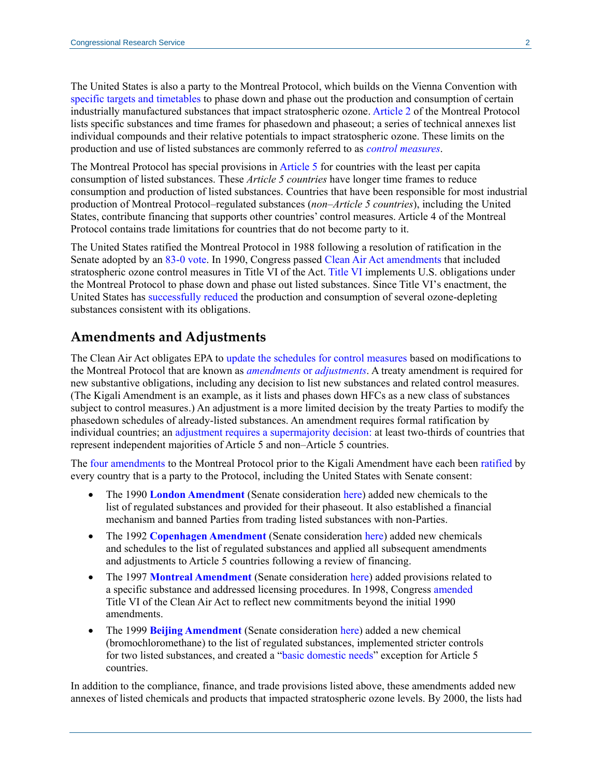The United States is also a party to the Montreal Protocol, which builds on the Vienna Convention with [specific targets and timetables](https://ozone.unep.org/sites/default/files/Handbooks/MP_Handbook_2019.pdf) to phase down and phase out the production and consumption of certain industrially manufactured substances that impact stratospheric ozone. [Article 2](https://ozone.unep.org/treaties/montreal-protocol/articles/article-2-control-measures) of the Montreal Protocol lists specific substances and time frames for phasedown and phaseout; a series of technical annexes list individual compounds and their relative potentials to impact stratospheric ozone. These limits on the production and use of listed substances are commonly referred to as *[control measures](https://ozone.unep.org/treaties/montreal-protocol/summary-control-measures-under-montreal-protocol)*.

The Montreal Protocol has special provisions in [Article 5](https://ozone.unep.org/treaties/montreal-protocol/articles/article-5-special-situation-developing-countries) for countries with the least per capita consumption of listed substances. These *Article 5 countries* have longer time frames to reduce consumption and production of listed substances. Countries that have been responsible for most industrial production of Montreal Protocol–regulated substances (*non*–*Article 5 countries*), including the United States, contribute financing that supports other countries' control measures. Article 4 of the Montreal Protocol contains trade limitations for countries that do not become party to it.

The United States ratified the Montreal Protocol in 1988 following a resolution of ratification in the Senate adopted by an [83-0 vote.](https://www.congress.gov/treaty-document/100th-congress/10/resolution-text) In 1990, Congress passed [Clean Air Act amendments](https://www.congress.gov/101/statute/STATUTE-104/STATUTE-104-Pg2399.pdf) that included stratospheric ozone control measures in Title VI of the Act[. Title VI](https://www.epa.gov/clean-air-act-overview/clean-air-act-title-vi-stratospheric-ozone-protection) implements U.S. obligations under the Montreal Protocol to phase down and phase out listed substances. Since Title VI's enactment, the United States has [successfully reduced](https://www.epa.gov/sites/default/files/2015-07/documents/achievements_in_stratospheric_ozone_protection.pdf) the production and consumption of several ozone-depleting substances consistent with its obligations.

#### **Amendments and Adjustments**

The Clean Air Act obligates EPA to [update the schedules for control measures](http://uscode.house.gov/view.xhtml?req=granuleid:USC-prelim-title42-section7671e&num=0&edition=prelim) based on modifications to the Montreal Protocol that are known as *[amendments](https://ozone.unep.org/treaties/montreal-protocol-substances-deplete-ozone-layer/the-evolution-of-the-montreal-protocol)* or *adjustments*. A treaty amendment is required for new substantive obligations, including any decision to list new substances and related control measures. (The Kigali Amendment is an example, as it lists and phases down HFCs as a new class of substances subject to control measures.) An adjustment is a more limited decision by the treaty Parties to modify the phasedown schedules of already-listed substances. An amendment requires formal ratification by individual countries; an [adjustment requires a supermajority decision:](https://ozone.unep.org/treaties/montreal-protocol/articles/article-2-control-measures) at least two-thirds of countries that represent independent majorities of Article 5 and non–Article 5 countries.

The [four amendments](https://www.congress.gov/congressional-report/107th-congress/executive-report/10/1) to the Montreal Protocol prior to the Kigali Amendment have each been [ratified](https://ozone.unep.org/all-ratifications) by every country that is a party to the Protocol, including the United States with Senate consent:

- The 1990 **[London Amendment](https://ozone.unep.org/treaties/montreal-protocol/amendments/london-amendment-1990-amendment-montreal-protocol-agreed)** (Senate consideration [here\)](https://www.congress.gov/treaty-document/102nd-congress/4) added new chemicals to the list of regulated substances and provided for their phaseout. It also established a financial mechanism and banned Parties from trading listed substances with non-Parties.
- The 1992 **[Copenhagen Amendment](https://ozone.unep.org/treaties/montreal-protocol/amendments/copenhagen-amendment-1992-amendment-montreal-protocol-agreed)** (Senate consideration [here\)](https://www.congress.gov/treaty-document/103rd-congress/9) added new chemicals and schedules to the list of regulated substances and applied all subsequent amendments and adjustments to Article 5 countries following a review of financing.
- The 1997 **[Montreal Amendment](https://ozone.unep.org/treaties/montreal-protocol/amendments/montreal-amendment-1997-amendment-montreal-protocol-agreed)** (Senate consideration [here\)](https://www.congress.gov/treaty-document/106th-congress/10) added provisions related to a specific substance and addressed licensing procedures. In 1998, Congress [amended](https://www.congress.gov/105/plaws/publ277/PLAW-105publ277.pdf#page=37) Title VI of the Clean Air Act to reflect new commitments beyond the initial 1990 amendments.
- The 1999 **[Beijing Amendment](https://ozone.unep.org/treaties/montreal-protocol/amendments/beijing-amendment-1999-amendment-montreal-protocol-agreed)** (Senate consideration [here\)](https://www.congress.gov/treaty-document/106th-congress/32) added a new chemical (bromochloromethane) to the list of regulated substances, implemented stricter controls for two listed substances, and created a ["basic domestic needs"](https://ozone.unep.org/treaties/montreal-protocol/allowance-production-meet-basic-domestic-needs-article-51-parties) exception for Article 5 countries.

In addition to the compliance, finance, and trade provisions listed above, these amendments added new annexes of listed chemicals and products that impacted stratospheric ozone levels. By 2000, the lists had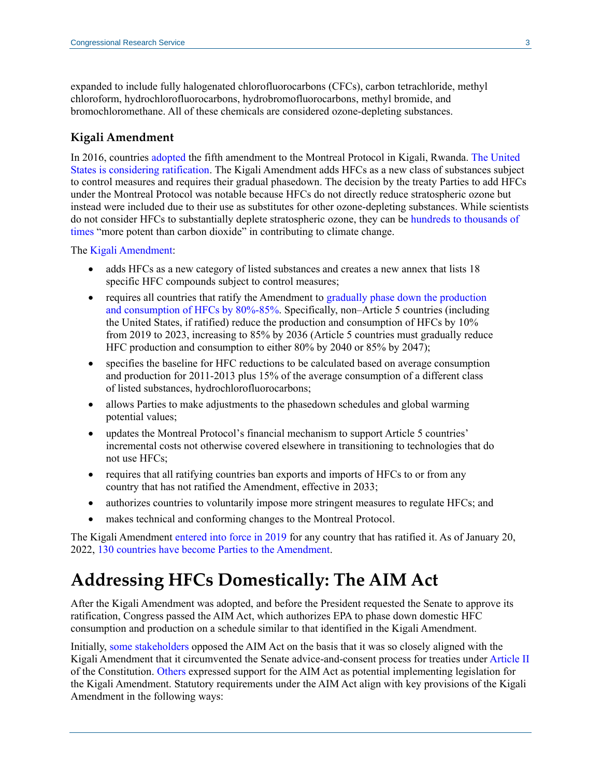expanded to include fully halogenated chlorofluorocarbons (CFCs), carbon tetrachloride, methyl chloroform, hydrochlorofluorocarbons, hydrobromofluorocarbons, methyl bromide, and bromochloromethane. All of these chemicals are considered ozone-depleting substances.

#### **Kigali Amendment**

In 2016, countries [adopted](https://ozone.unep.org/treaties/montreal-protocol/meetings/twenty-eighth-meeting-parties/decisions/decision-xxviii1-further-amendment-montreal-protocol) the fifth amendment to the Montreal Protocol in Kigali, Rwanda. [The United](https://www.congress.gov/treaty-document/117th-congress/1/document-text?overview=closed)  [States is considering ratification.](https://www.congress.gov/treaty-document/117th-congress/1/document-text?overview=closed) The Kigali Amendment adds HFCs as a new class of substances subject to control measures and requires their gradual phasedown. The decision by the treaty Parties to add HFCs under the Montreal Protocol was notable because HFCs do not directly reduce stratospheric ozone but instead were included due to their use as substitutes for other ozone-depleting substances. While scientists do not consider HFCs to substantially deplete stratospheric ozone, they can b[e hundreds to thousands of](https://www.epa.gov/ozone-layer-protection/recent-international-developments-under-montreal-protocol)  [times](https://www.epa.gov/ozone-layer-protection/recent-international-developments-under-montreal-protocol) "more potent than carbon dioxide" in contributing to climate change.

The [Kigali Amendment:](https://ozone.unep.org/treaties/montreal-protocol/meetings/twenty-eighth-meeting-parties/decisions/annex-i-amendment)

- adds HFCs as a new category of listed substances and creates a new annex that lists 18 specific HFC compounds subject to control measures;
- requires all countries that ratify the Amendment to gradually phase down the production [and consumption of HFCs by 80%-85%.](https://ozone.unep.org/sites/default/files/2020-01/FAQs_Kigali_Amendment.pdf#page=2) Specifically, non–Article 5 countries (including the United States, if ratified) reduce the production and consumption of HFCs by 10% from 2019 to 2023, increasing to 85% by 2036 (Article 5 countries must gradually reduce HFC production and consumption to either 80% by 2040 or 85% by 2047);
- specifies the baseline for HFC reductions to be calculated based on average consumption and production for 2011-2013 plus 15% of the average consumption of a different class of listed substances, hydrochlorofluorocarbons;
- allows Parties to make adjustments to the phasedown schedules and global warming potential values;
- updates the Montreal Protocol's financial mechanism to support Article 5 countries' incremental costs not otherwise covered elsewhere in transitioning to technologies that do not use HFCs;
- requires that all ratifying countries ban exports and imports of HFCs to or from any country that has not ratified the Amendment, effective in 2033;
- authorizes countries to voluntarily impose more stringent measures to regulate HFCs; and
- makes technical and conforming changes to the Montreal Protocol.

The Kigali Amendment [entered into force in 2019](https://treaties.un.org/doc/Publication/CN/2017/CN.730.2017-Eng.pdf) for any country that has ratified it. As of January 20, 2022, 130 [countries have become Parties to the Amendment.](https://ozone.unep.org/all-ratifications)

### **Addressing HFCs Domestically: The AIM Act**

After the Kigali Amendment was adopted, and before the President requested the Senate to approve its ratification, Congress passed the AIM Act, which authorizes EPA to phase down domestic HFC consumption and production on a schedule similar to that identified in the Kigali Amendment.

Initially, [some stakeholders](https://www.epw.senate.gov/public/_cache/files/a/7/a7d104b2-d3ee-43d6-a6e7-78f58fae5969/955DC9ED7607B8AAD68799532BA039F9.03.25.2020-hfc-qfrs.pdf#page=285) opposed the AIM Act on the basis that it was so closely aligned with the Kigali Amendment that it circumvented the Senate advice-and-consent process for treaties under [Article II](https://constitution.congress.gov/browse/essay/artII-S2-C2-1/ALDE_00001135/%5b) of the Constitution. [Others](https://www.epw.senate.gov/public/_cache/files/a/7/a7d104b2-d3ee-43d6-a6e7-78f58fae5969/955DC9ED7607B8AAD68799532BA039F9.03.25.2020-hfc-qfrs.pdf#page=187) expressed support for the AIM Act as potential implementing legislation for the Kigali Amendment. Statutory requirements under the AIM Act align with key provisions of the Kigali Amendment in the following ways: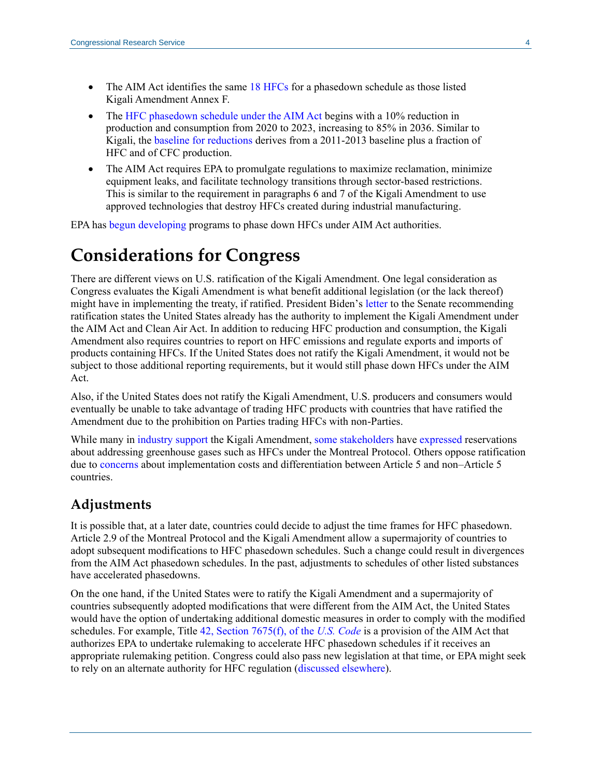- The AIM Act identifies the same [18 HFCs](https://www.congress.gov/116/plaws/publ260/PLAW-116publ260.pdf#page=1078) for a phasedown schedule as those listed Kigali Amendment Annex F.
- The [HFC phasedown schedule under the AIM Act](https://www.congress.gov/116/plaws/publ260/PLAW-116publ260.pdf#page=1082) begins with a 10% reduction in production and consumption from 2020 to 2023, increasing to 85% in 2036. Similar to Kigali, the [baseline for reductions](https://www.congress.gov/116/plaws/publ260/PLAW-116publ260.pdf#page=1080) derives from a 2011-2013 baseline plus a fraction of HFC and of CFC production.
- The AIM Act requires EPA to promulgate regulations to maximize reclamation, minimize equipment leaks, and facilitate technology transitions through sector-based restrictions. This is similar to the requirement in paragraphs 6 and 7 of the Kigali Amendment to use approved technologies that destroy HFCs created during industrial manufacturing.

EPA has [begun developing](https://www.epa.gov/climate-hfcs-reduction) programs to phase down HFCs under AIM Act authorities.

### **Considerations for Congress**

There are different views on U.S. ratification of the Kigali Amendment. One legal consideration as Congress evaluates the Kigali Amendment is what benefit additional legislation (or the lack thereof) might have in implementing the treaty, if ratified. President Biden's [letter](https://www.congress.gov/treaty-document/117th-congress/1/document-text?overview=closed) to the Senate recommending ratification states the United States already has the authority to implement the Kigali Amendment under the AIM Act and Clean Air Act. In addition to reducing HFC production and consumption, the Kigali Amendment also requires countries to report on HFC emissions and regulate exports and imports of products containing HFCs. If the United States does not ratify the Kigali Amendment, it would not be subject to those additional reporting requirements, but it would still phase down HFCs under the AIM Act.

Also, if the United States does not ratify the Kigali Amendment, U.S. producers and consumers would eventually be unable to take advantage of trading HFC products with countries that have ratified the Amendment due to the prohibition on Parties trading HFCs with non-Parties.

While many in [industry support](https://www.nytimes.com/2016/10/17/business/how-the-chemical-industry-joined-the-fight-against-climate-change.html?mcubz=1) the Kigali Amendment, [some stakeholders](http://www.mjeal-online.org/will-congress-warm-up-to-hfc-refrigerant-replacements/) have [expressed](http://www.mjeal-online.org/will-congress-warm-up-to-hfc-refrigerant-replacements/) reservations about addressing greenhouse gases such as HFCs under the Montreal Protocol. Others oppose ratification due to [concerns](http://www.mjeal-online.org/will-congress-warm-up-to-hfc-refrigerant-replacements/) about implementation costs and differentiation between Article 5 and non–Article 5 countries.

### **Adjustments**

It is possible that, at a later date, countries could decide to adjust the time frames for HFC phasedown. Article 2.9 of the Montreal Protocol and the Kigali Amendment allow a supermajority of countries to adopt subsequent modifications to HFC phasedown schedules. Such a change could result in divergences from the AIM Act phasedown schedules. In the past, adjustments to schedules of other listed substances have accelerated phasedowns.

On the one hand, if the United States were to ratify the Kigali Amendment and a supermajority of countries subsequently adopted modifications that were different from the AIM Act, the United States would have the option of undertaking additional domestic measures in order to comply with the modified schedules. For example, Title [42, Section 7675\(f\),](https://uscode.house.gov/view.xhtml?req=granuleid:USC-prelim-title42-section7675&num=0&edition=prelim) of the *U.S. Code* is a provision of the AIM Act that authorizes EPA to undertake rulemaking to accelerate HFC phasedown schedules if it receives an appropriate rulemaking petition. Congress could also pass new legislation at that time, or EPA might seek to rely on an alternate authority for HFC regulation [\(discussed elsewhere\)](https://crsreports.congress.gov/product/pdf/LSB/LSB10154).